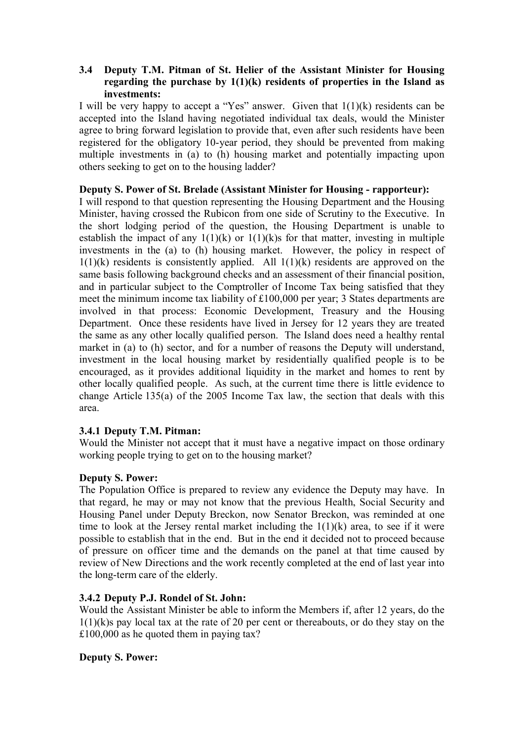# **3.4** � **Deputy T.M. Pitman of St. Helier of the Assistant Minister for Housing regarding the purchase by 1(1)(k) residents of properties in the Island as investments:**

I will be very happy to accept a "Yes" answer. Given that  $1(1)(k)$  residents can be accepted into the Island having negotiated individual tax deals, would the Minister agree to bring forward legislation to provide that, even after such residents have been registered for the obligatory 10-year period, they should be prevented from making multiple investments in (a) to (h) housing market and potentially impacting upon others seeking to get on to the housing ladder?

### **Deputy S. Power of St. Brelade (Assistant Minister for Housing - rapporteur):**

I will respond to that question representing the Housing Department and the Housing Minister, having crossed the Rubicon from one side of Scrutiny to the Executive. In the short lodging period of the question, the Housing Department is unable to establish the impact of any  $1(1)(k)$  or  $1(1)(k)$ s for that matter, investing in multiple investments in the (a) to (h) housing market. However, the policy in respect of  $1(1)(k)$  residents is consistently applied. All  $1(1)(k)$  residents are approved on the same basis following background checks and an assessment of their financial position, and in particular subject to the Comptroller of Income Tax being satisfied that they meet the minimum income tax liability of £100,000 per year; 3 States departments are involved in that process: Economic Development, Treasury and the Housing Department. Once these residents have lived in Jersey for 12 years they are treated the same as any other locally qualified person. The Island does need a healthy rental market in (a) to (h) sector, and for a number of reasons the Deputy will understand, investment in the local housing market by residentially qualified people is to be encouraged, as it provides additional liquidity in the market and homes to rent by other locally qualified people. As such, at the current time there is little evidence to change Article 135(a) of the 2005 Income Tax law, the section that deals with this area.

# **3.4.1 Deputy T.M. Pitman:**

Would the Minister not accept that it must have a negative impact on those ordinary working people trying to get on to the housing market?

# **Deputy S. Power:**

The Population Office is prepared to review any evidence the Deputy may have. In that regard, he may or may not know that the previous Health, Social Security and Housing Panel under Deputy Breckon, now Senator Breckon, was reminded at one time to look at the Jersey rental market including the  $1(1)(k)$  area, to see if it were possible to establish that in the end. But in the end it decided not to proceed because of pressure on officer time and the demands on the panel at that time caused by review of New Directions and the work recently completed at the end of last year into the long-term care of the elderly.

# **3.4.2 Deputy P.J. Rondel of St. John:**

Would the Assistant Minister be able to inform the Members if, after 12 years, do the  $1(1)(k)$ s pay local tax at the rate of 20 per cent or thereabouts, or do they stay on the £100,000 as he quoted them in paying tax?

# **Deputy S. Power:**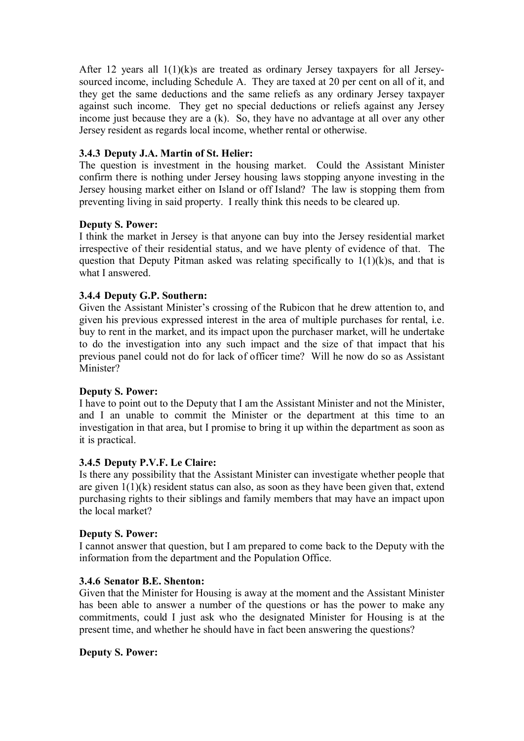After 12 years all  $1(1)(k)$ s are treated as ordinary Jersey taxpayers for all Jerseysourced income, including Schedule A. They are taxed at 20 per cent on all of it, and they get the same deductions and the same reliefs as any ordinary Jersey taxpayer against such income. They get no special deductions or reliefs against any Jersey income just because they are a (k). So, they have no advantage at all over any other Jersey resident as regards local income, whether rental or otherwise.

# **3.4.3 Deputy J.A. Martin of St. Helier:**

The question is investment in the housing market. Could the Assistant Minister confirm there is nothing under Jersey housing laws stopping anyone investing in the Jersey housing market either on Island or off Island? The law is stopping them from preventing living in said property. I really think this needs to be cleared up.

### **Deputy S. Power:**

I think the market in Jersey is that anyone can buy into the Jersey residential market irrespective of their residential status, and we have plenty of evidence of that. The question that Deputy Pitman asked was relating specifically to  $1(1)(k)s$ , and that is what I answered.

### **3.4.4 Deputy G.P. Southern:**

Given the Assistant Minister's crossing of the Rubicon that he drew attention to, and given his previous expressed interest in the area of multiple purchases for rental, i.e. buy to rent in the market, and its impact upon the purchaser market, will he undertake to do the investigation into any such impact and the size of that impact that his previous panel could not do for lack of officer time? Will he now do so as Assistant Minister?

### **Deputy S. Power:**

I have to point out to the Deputy that I am the Assistant Minister and not the Minister, and I an unable to commit the Minister or the department at this time to an investigation in that area, but I promise to bring it up within the department as soon as it is practical.

### **3.4.5 Deputy P.V.F. Le Claire:**

Is there any possibility that the Assistant Minister can investigate whether people that are given 1(1)(k) resident status can also, as soon as they have been given that, extend purchasing rights to their siblings and family members that may have an impact upon the local market?

### **Deputy S. Power:**

I cannot answer that question, but I am prepared to come back to the Deputy with the information from the department and the Population Office.

### **3.4.6 Senator B.E. Shenton:**

Given that the Minister for Housing is away at the moment and the Assistant Minister has been able to answer a number of the questions or has the power to make any commitments, could I just ask who the designated Minister for Housing is at the present time, and whether he should have in fact been answering the questions?

### **Deputy S. Power:**